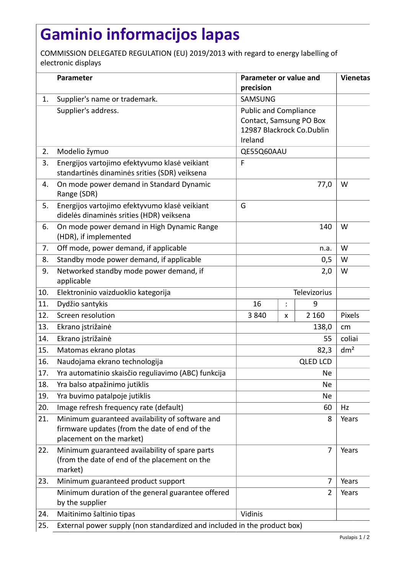## **Gaminio informacijos lapas**

COMMISSION DELEGATED REGULATION (EU) 2019/2013 with regard to energy labelling of electronic displays

|     | Parameter                                                                                                                    | Parameter or value and<br>precision                                                             |                |                | <b>Vienetas</b> |  |
|-----|------------------------------------------------------------------------------------------------------------------------------|-------------------------------------------------------------------------------------------------|----------------|----------------|-----------------|--|
| 1.  | Supplier's name or trademark.                                                                                                | SAMSUNG                                                                                         |                |                |                 |  |
|     | Supplier's address.                                                                                                          | <b>Public and Compliance</b><br>Contact, Samsung PO Box<br>12987 Blackrock Co.Dublin<br>Ireland |                |                |                 |  |
| 2.  | Modelio žymuo                                                                                                                | QE55Q60AAU                                                                                      |                |                |                 |  |
| 3.  | Energijos vartojimo efektyvumo klasė veikiant<br>standartinės dinaminės srities (SDR) veiksena                               | F                                                                                               |                |                |                 |  |
| 4.  | On mode power demand in Standard Dynamic<br>Range (SDR)                                                                      | 77,0                                                                                            |                |                | W               |  |
| 5.  | Energijos vartojimo efektyvumo klasė veikiant<br>didelės dinaminės srities (HDR) veiksena                                    | G                                                                                               |                |                |                 |  |
| 6.  | On mode power demand in High Dynamic Range<br>(HDR), if implemented                                                          | 140                                                                                             |                |                | W               |  |
| 7.  | Off mode, power demand, if applicable                                                                                        | n.a.                                                                                            |                |                | W               |  |
| 8.  | Standby mode power demand, if applicable                                                                                     | 0,5                                                                                             |                |                | W               |  |
| 9.  | Networked standby mode power demand, if<br>applicable                                                                        | 2,0                                                                                             |                |                | W               |  |
| 10. | Elektroninio vaizduoklio kategorija                                                                                          | Televizorius                                                                                    |                |                |                 |  |
| 11. | Dydžio santykis                                                                                                              | 16                                                                                              | $\ddot{\cdot}$ | 9              |                 |  |
| 12. | Screen resolution                                                                                                            | 3840                                                                                            | X              | 2 1 6 0        | Pixels          |  |
| 13. | Ekrano įstrižainė                                                                                                            |                                                                                                 |                | 138,0          | cm              |  |
| 14. | Ekrano įstrižainė                                                                                                            | 55                                                                                              |                |                | coliai          |  |
| 15. | Matomas ekrano plotas                                                                                                        | 82,3                                                                                            |                |                | dm <sup>2</sup> |  |
| 16. | Naudojama ekrano technologija                                                                                                | <b>QLED LCD</b>                                                                                 |                |                |                 |  |
| 17. | Yra automatinio skaisčio reguliavimo (ABC) funkcija                                                                          | <b>Ne</b>                                                                                       |                |                |                 |  |
| 18. | Yra balso atpažinimo jutiklis                                                                                                | Ne                                                                                              |                |                |                 |  |
| 19. | Yra buvimo patalpoje jutiklis                                                                                                | <b>Ne</b>                                                                                       |                |                |                 |  |
| 20. | Image refresh frequency rate (default)                                                                                       | 60                                                                                              |                |                | Hz              |  |
| 21. | Minimum guaranteed availability of software and<br>firmware updates (from the date of end of the<br>placement on the market) | 8                                                                                               |                |                | Years           |  |
| 22. | Minimum guaranteed availability of spare parts<br>(from the date of end of the placement on the<br>market)                   | 7                                                                                               |                |                | Years           |  |
| 23. | Minimum guaranteed product support                                                                                           | 7                                                                                               |                |                | Years           |  |
|     | Minimum duration of the general guarantee offered<br>by the supplier                                                         |                                                                                                 |                | $\overline{2}$ | Years           |  |
| 24. | Maitinimo šaltinio tipas                                                                                                     | Vidinis                                                                                         |                |                |                 |  |
| 25. | External power supply (non standardized and included in the product box)                                                     |                                                                                                 |                |                |                 |  |